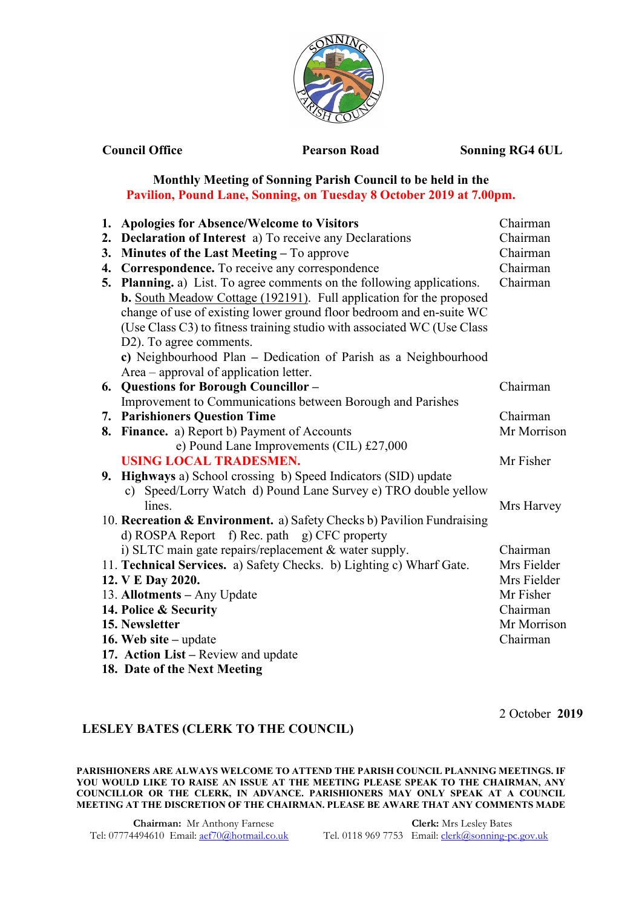

**Council Office 2018 Pearson Road Sonning RG4 6UL** 

## **Monthly Meeting of Sonning Parish Council to be held in the Pavilion, Pound Lane, Sonning, on Tuesday 8 October 2019 at 7.00pm.**

|    | 1. Apologies for Absence/Welcome to Visitors                               | Chairman    |
|----|----------------------------------------------------------------------------|-------------|
| 2. | <b>Declaration of Interest</b> a) To receive any Declarations              | Chairman    |
| 3. | Minutes of the Last Meeting - To approve                                   | Chairman    |
| 4. | Correspondence. To receive any correspondence                              | Chairman    |
| 5. | <b>Planning.</b> a) List. To agree comments on the following applications. | Chairman    |
|    | <b>b.</b> South Meadow Cottage (192191). Full application for the proposed |             |
|    | change of use of existing lower ground floor bedroom and en-suite WC       |             |
|    | (Use Class C3) to fitness training studio with associated WC (Use Class    |             |
|    | D2). To agree comments.                                                    |             |
|    | c) Neighbourhood Plan - Dedication of Parish as a Neighbourhood            |             |
|    | Area – approval of application letter.                                     |             |
|    | 6. Questions for Borough Councillor -                                      | Chairman    |
|    | Improvement to Communications between Borough and Parishes                 |             |
|    | <b>7. Parishioners Question Time</b>                                       | Chairman    |
|    | 8. Finance. a) Report b) Payment of Accounts                               | Mr Morrison |
|    | e) Pound Lane Improvements (CIL) £27,000                                   |             |
|    | <b>USING LOCAL TRADESMEN.</b>                                              | Mr Fisher   |
|    | 9. Highways a) School crossing b) Speed Indicators (SID) update            |             |
|    | c) Speed/Lorry Watch d) Pound Lane Survey e) TRO double yellow             |             |
|    | lines.                                                                     | Mrs Harvey  |
|    | 10. Recreation & Environment. a) Safety Checks b) Pavilion Fundraising     |             |
|    | d) ROSPA Report f) Rec. path g) CFC property                               |             |
|    | i) SLTC main gate repairs/replacement & water supply.                      | Chairman    |
|    | 11. Technical Services. a) Safety Checks. b) Lighting c) Wharf Gate.       | Mrs Fielder |
|    | 12. V E Day 2020.                                                          | Mrs Fielder |
|    | 13. Allotments - Any Update                                                | Mr Fisher   |
|    | 14. Police & Security                                                      | Chairman    |
|    | 15. Newsletter                                                             | Mr Morrison |
|    | 16. Web site $-$ update                                                    | Chairman    |
|    | 17. Action List – Review and update                                        |             |
|    | 18. Date of the Next Meeting                                               |             |

2 October **2019** 

## **LESLEY BATES (CLERK TO THE COUNCIL)**

**PARISHIONERS ARE ALWAYS WELCOME TO ATTEND THE PARISH COUNCIL PLANNING MEETINGS. IF YOU WOULD LIKE TO RAISE AN ISSUE AT THE MEETING PLEASE SPEAK TO THE CHAIRMAN, ANY COUNCILLOR OR THE CLERK, IN ADVANCE. PARISHIONERS MAY ONLY SPEAK AT A COUNCIL MEETING AT THE DISCRETION OF THE CHAIRMAN. PLEASE BE AWARE THAT ANY COMMENTS MADE** 

Tel: 07774494610 Email: [aef70@hotmail.co.uk](mailto:aef70@hotmail.co.uk)